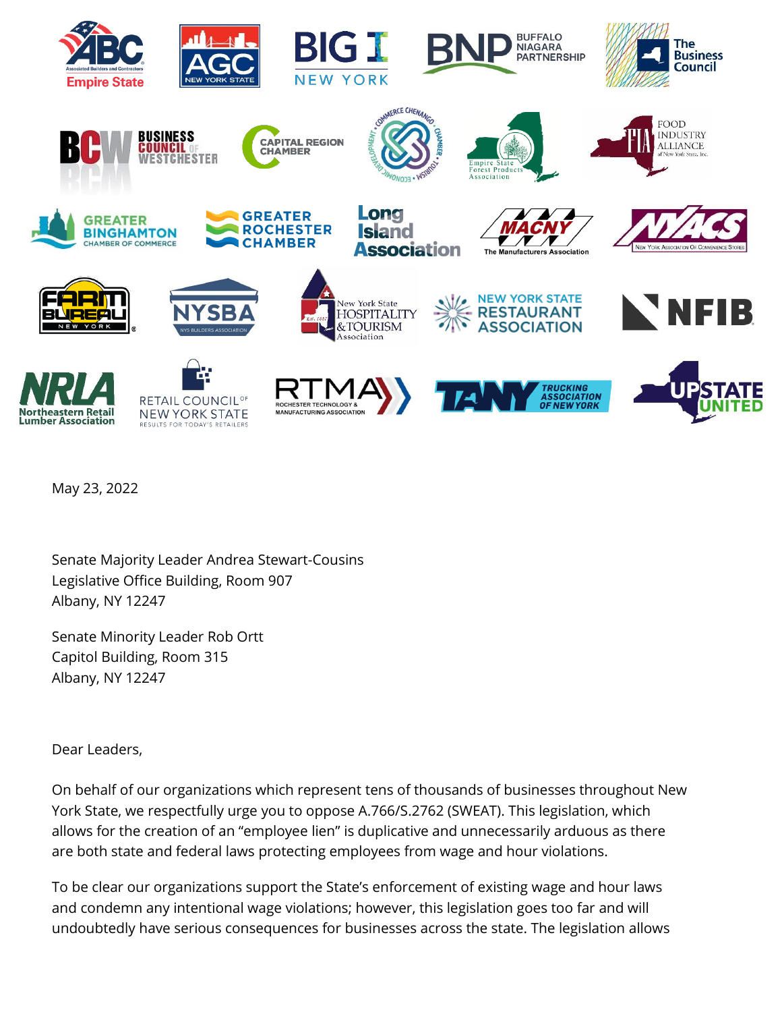

May 23, 2022

Senate Majority Leader Andrea Stewart-Cousins Legislative Office Building, Room 907 Albany, NY 12247

Senate Minority Leader Rob Ortt Capitol Building, Room 315 Albany, NY 12247

Dear Leaders,

On behalf of our organizations which represent tens of thousands of businesses throughout New York State, we respectfully urge you to oppose A.766/S.2762 (SWEAT). This legislation, which allows for the creation of an "employee lien" is duplicative and unnecessarily arduous as there are both state and federal laws protecting employees from wage and hour violations.

To be clear our organizations support the State's enforcement of existing wage and hour laws and condemn any intentional wage violations; however, this legislation goes too far and will undoubtedly have serious consequences for businesses across the state. The legislation allows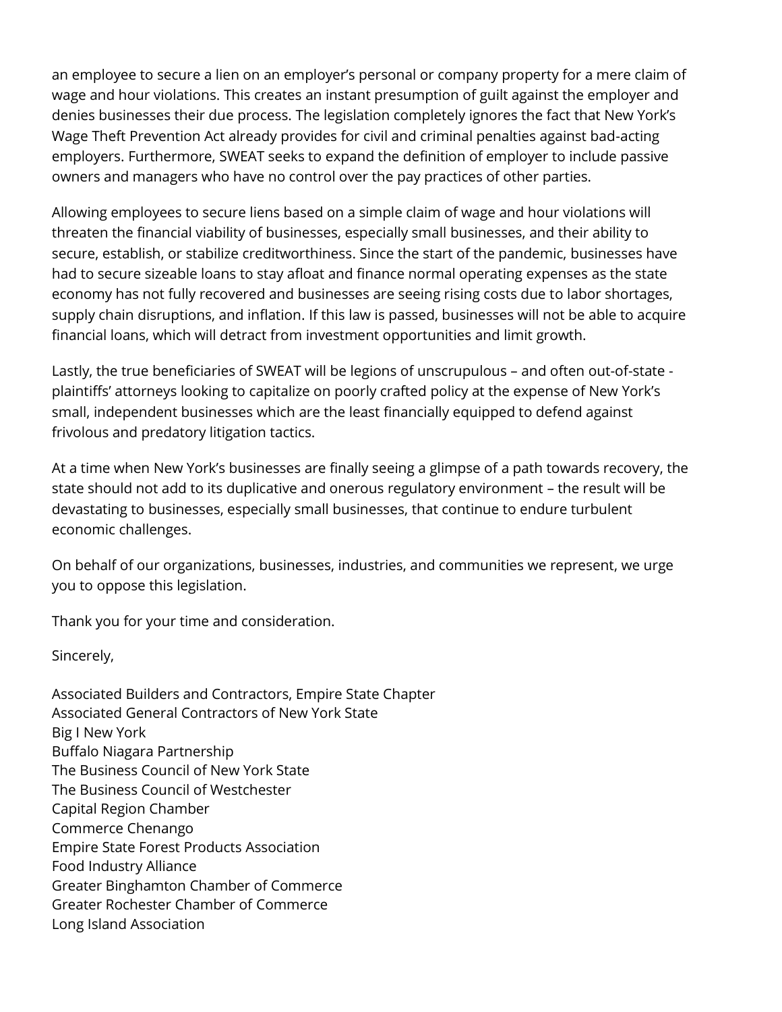an employee to secure a lien on an employer's personal or company property for a mere claim of wage and hour violations. This creates an instant presumption of guilt against the employer and denies businesses their due process. The legislation completely ignores the fact that New York's Wage Theft Prevention Act already provides for civil and criminal penalties against bad-acting employers. Furthermore, SWEAT seeks to expand the definition of employer to include passive owners and managers who have no control over the pay practices of other parties.

Allowing employees to secure liens based on a simple claim of wage and hour violations will threaten the financial viability of businesses, especially small businesses, and their ability to secure, establish, or stabilize creditworthiness. Since the start of the pandemic, businesses have had to secure sizeable loans to stay afloat and finance normal operating expenses as the state economy has not fully recovered and businesses are seeing rising costs due to labor shortages, supply chain disruptions, and inflation. If this law is passed, businesses will not be able to acquire financial loans, which will detract from investment opportunities and limit growth.

Lastly, the true beneficiaries of SWEAT will be legions of unscrupulous – and often out-of-state plaintiffs' attorneys looking to capitalize on poorly crafted policy at the expense of New York's small, independent businesses which are the least financially equipped to defend against frivolous and predatory litigation tactics.

At a time when New York's businesses are finally seeing a glimpse of a path towards recovery, the state should not add to its duplicative and onerous regulatory environment – the result will be devastating to businesses, especially small businesses, that continue to endure turbulent economic challenges.

On behalf of our organizations, businesses, industries, and communities we represent, we urge you to oppose this legislation.

Thank you for your time and consideration.

Sincerely,

Associated Builders and Contractors, Empire State Chapter Associated General Contractors of New York State Big I New York Buffalo Niagara Partnership The Business Council of New York State The Business Council of Westchester Capital Region Chamber Commerce Chenango Empire State Forest Products Association Food Industry Alliance Greater Binghamton Chamber of Commerce Greater Rochester Chamber of Commerce Long Island Association